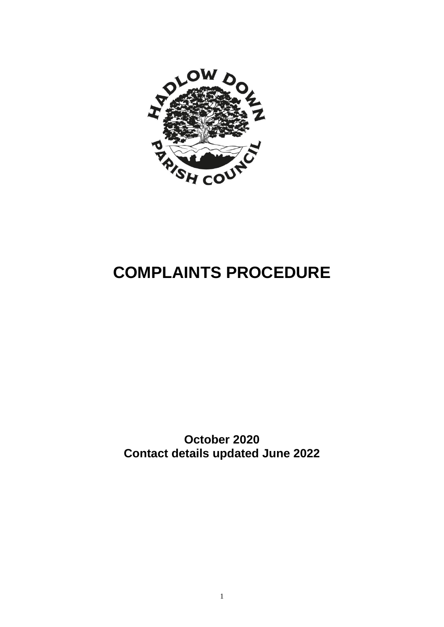

# **COMPLAINTS PROCEDURE**

**October 2020 Contact details updated June 2022**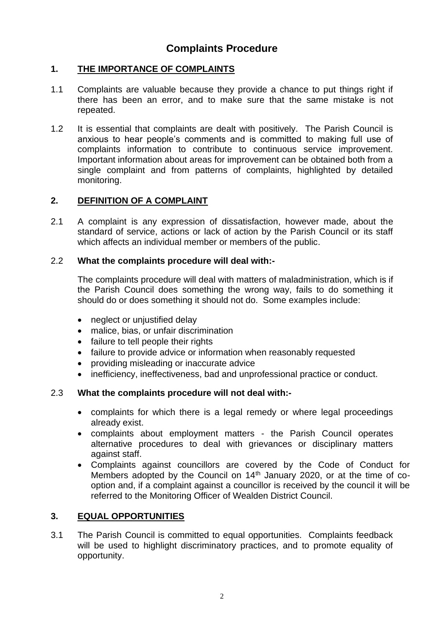# **Complaints Procedure**

## **1. THE IMPORTANCE OF COMPLAINTS**

- 1.1 Complaints are valuable because they provide a chance to put things right if there has been an error, and to make sure that the same mistake is not repeated.
- 1.2 It is essential that complaints are dealt with positively. The Parish Council is anxious to hear people's comments and is committed to making full use of complaints information to contribute to continuous service improvement. Important information about areas for improvement can be obtained both from a single complaint and from patterns of complaints, highlighted by detailed monitoring.

#### **2. DEFINITION OF A COMPLAINT**

2.1 A complaint is any expression of dissatisfaction, however made, about the standard of service, actions or lack of action by the Parish Council or its staff which affects an individual member or members of the public.

#### 2.2 **What the complaints procedure will deal with:-**

The complaints procedure will deal with matters of maladministration, which is if the Parish Council does something the wrong way, fails to do something it should do or does something it should not do. Some examples include:

- neglect or unjustified delay
- malice, bias, or unfair discrimination
- failure to tell people their rights
- failure to provide advice or information when reasonably requested
- providing misleading or inaccurate advice
- inefficiency, ineffectiveness, bad and unprofessional practice or conduct.

#### 2.3 **What the complaints procedure will not deal with:-**

- complaints for which there is a legal remedy or where legal proceedings already exist.
- complaints about employment matters the Parish Council operates alternative procedures to deal with grievances or disciplinary matters against staff.
- Complaints against councillors are covered by the Code of Conduct for Members adopted by the Council on 14<sup>th</sup> January 2020, or at the time of cooption and, if a complaint against a councillor is received by the council it will be referred to the Monitoring Officer of Wealden District Council.

#### **3. EQUAL OPPORTUNITIES**

3.1 The Parish Council is committed to equal opportunities. Complaints feedback will be used to highlight discriminatory practices, and to promote equality of opportunity.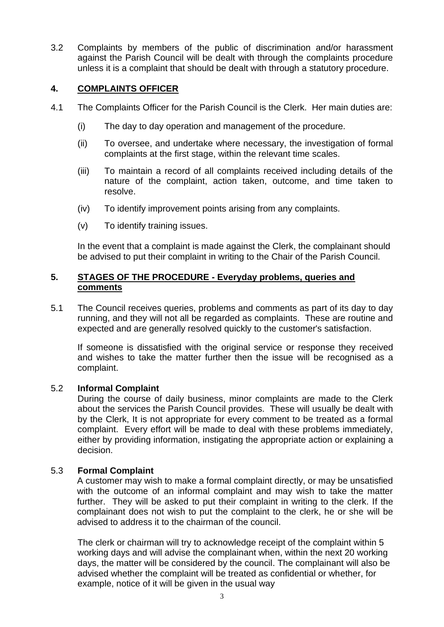3.2 Complaints by members of the public of discrimination and/or harassment against the Parish Council will be dealt with through the complaints procedure unless it is a complaint that should be dealt with through a statutory procedure.

## **4. COMPLAINTS OFFICER**

- 4.1 The Complaints Officer for the Parish Council is the Clerk. Her main duties are:
	- (i) The day to day operation and management of the procedure.
	- (ii) To oversee, and undertake where necessary, the investigation of formal complaints at the first stage, within the relevant time scales.
	- (iii) To maintain a record of all complaints received including details of the nature of the complaint, action taken, outcome, and time taken to resolve.
	- (iv) To identify improvement points arising from any complaints.
	- (v) To identify training issues.

In the event that a complaint is made against the Clerk, the complainant should be advised to put their complaint in writing to the Chair of the Parish Council.

#### **5. STAGES OF THE PROCEDURE - Everyday problems, queries and comments**

5.1 The Council receives queries, problems and comments as part of its day to day running, and they will not all be regarded as complaints. These are routine and expected and are generally resolved quickly to the customer's satisfaction.

If someone is dissatisfied with the original service or response they received and wishes to take the matter further then the issue will be recognised as a complaint.

#### 5.2 **Informal Complaint**

During the course of daily business, minor complaints are made to the Clerk about the services the Parish Council provides. These will usually be dealt with by the Clerk, It is not appropriate for every comment to be treated as a formal complaint. Every effort will be made to deal with these problems immediately, either by providing information, instigating the appropriate action or explaining a decision.

#### 5.3 **Formal Complaint**

A customer may wish to make a formal complaint directly, or may be unsatisfied with the outcome of an informal complaint and may wish to take the matter further. They will be asked to put their complaint in writing to the clerk. If the complainant does not wish to put the complaint to the clerk, he or she will be advised to address it to the chairman of the council.

The clerk or chairman will try to acknowledge receipt of the complaint within 5 working days and will advise the complainant when, within the next 20 working days, the matter will be considered by the council. The complainant will also be advised whether the complaint will be treated as confidential or whether, for example, notice of it will be given in the usual way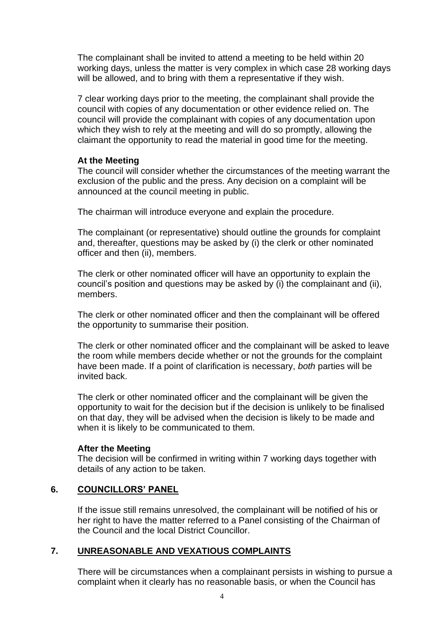The complainant shall be invited to attend a meeting to be held within 20 working days, unless the matter is very complex in which case 28 working days will be allowed, and to bring with them a representative if they wish.

7 clear working days prior to the meeting, the complainant shall provide the council with copies of any documentation or other evidence relied on. The council will provide the complainant with copies of any documentation upon which they wish to rely at the meeting and will do so promptly, allowing the claimant the opportunity to read the material in good time for the meeting.

#### **At the Meeting**

The council will consider whether the circumstances of the meeting warrant the exclusion of the public and the press. Any decision on a complaint will be announced at the council meeting in public.

The chairman will introduce everyone and explain the procedure.

The complainant (or representative) should outline the grounds for complaint and, thereafter, questions may be asked by (i) the clerk or other nominated officer and then (ii), members.

The clerk or other nominated officer will have an opportunity to explain the council's position and questions may be asked by (i) the complainant and (ii), members.

The clerk or other nominated officer and then the complainant will be offered the opportunity to summarise their position.

The clerk or other nominated officer and the complainant will be asked to leave the room while members decide whether or not the grounds for the complaint have been made. If a point of clarification is necessary, *both* parties will be invited back.

The clerk or other nominated officer and the complainant will be given the opportunity to wait for the decision but if the decision is unlikely to be finalised on that day, they will be advised when the decision is likely to be made and when it is likely to be communicated to them.

#### **After the Meeting**

The decision will be confirmed in writing within 7 working days together with details of any action to be taken.

# **6. COUNCILLORS' PANEL**

If the issue still remains unresolved, the complainant will be notified of his or her right to have the matter referred to a Panel consisting of the Chairman of the Council and the local District Councillor.

# **7. UNREASONABLE AND VEXATIOUS COMPLAINTS**

There will be circumstances when a complainant persists in wishing to pursue a complaint when it clearly has no reasonable basis, or when the Council has